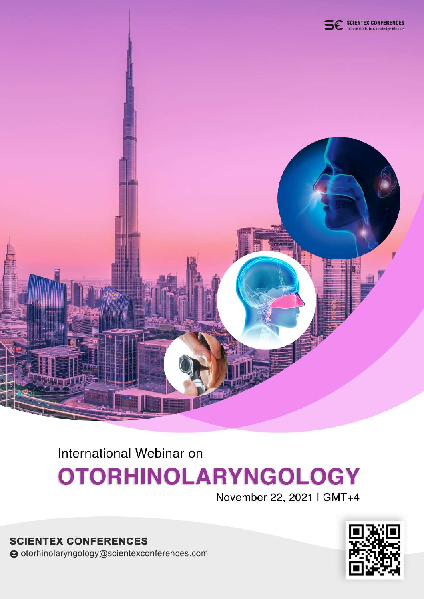

International Webinar on

## **OTORHINOLARYNGOLOGY**

November 22, 2021 | GMT+4

**SCIENTEX CONFERENCES** otorhinolaryngology@scientexconferences.com

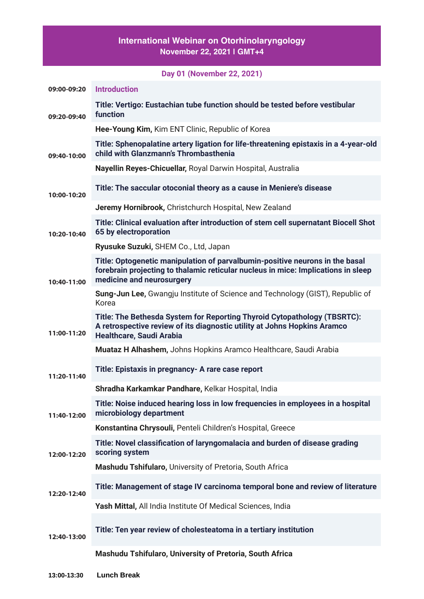## **International Webinar on Otorhinolaryngology November 22, 2021 | GMT+4**

|                            | Day 01 (November 22, 2021)                                                                                                                                                                     |
|----------------------------|------------------------------------------------------------------------------------------------------------------------------------------------------------------------------------------------|
| 09:00-09:20                | <b>Introduction</b>                                                                                                                                                                            |
| 09:20-09:40<br>09:40-10:00 | Title: Vertigo: Eustachian tube function should be tested before vestibular<br>function                                                                                                        |
|                            | Hee-Young Kim, Kim ENT Clinic, Republic of Korea                                                                                                                                               |
|                            | Title: Sphenopalatine artery ligation for life-threatening epistaxis in a 4-year-old<br>child with Glanzmann's Thrombasthenia                                                                  |
|                            | Nayellin Reyes-Chicuellar, Royal Darwin Hospital, Australia                                                                                                                                    |
| 10:00-10:20                | Title: The saccular otoconial theory as a cause in Meniere's disease                                                                                                                           |
|                            | Jeremy Hornibrook, Christchurch Hospital, New Zealand                                                                                                                                          |
| 10:20-10:40                | Title: Clinical evaluation after introduction of stem cell supernatant Biocell Shot<br>65 by electroporation                                                                                   |
|                            | Ryusuke Suzuki, SHEM Co., Ltd, Japan                                                                                                                                                           |
| 10:40-11:00                | Title: Optogenetic manipulation of parvalbumin-positive neurons in the basal<br>forebrain projecting to thalamic reticular nucleus in mice: Implications in sleep<br>medicine and neurosurgery |
|                            | <b>Sung-Jun Lee, Gwangju Institute of Science and Technology (GIST), Republic of</b><br>Korea                                                                                                  |
| 11:00-11:20                | Title: The Bethesda System for Reporting Thyroid Cytopathology (TBSRTC):<br>A retrospective review of its diagnostic utility at Johns Hopkins Aramco<br><b>Healthcare, Saudi Arabia</b>        |
|                            | Muataz H Alhashem, Johns Hopkins Aramco Healthcare, Saudi Arabia                                                                                                                               |
| 11:20-11:40                | Title: Epistaxis in pregnancy- A rare case report                                                                                                                                              |
|                            | Shradha Karkamkar Pandhare, Kelkar Hospital, India                                                                                                                                             |
| 11:40-12:00                | Title: Noise induced hearing loss in low frequencies in employees in a hospital<br>microbiology department                                                                                     |
|                            | Konstantina Chrysouli, Penteli Children's Hospital, Greece                                                                                                                                     |
| 12:00-12:20                | Title: Novel classification of laryngomalacia and burden of disease grading<br>scoring system                                                                                                  |
|                            | Mashudu Tshifularo, University of Pretoria, South Africa                                                                                                                                       |
| 12:20-12:40                | Title: Management of stage IV carcinoma temporal bone and review of literature                                                                                                                 |
|                            | Yash Mittal, All India Institute Of Medical Sciences, India                                                                                                                                    |
| 12:40-13:00                | Title: Ten year review of cholesteatoma in a tertiary institution                                                                                                                              |
|                            | Mashudu Tshifularo, University of Pretoria, South Africa                                                                                                                                       |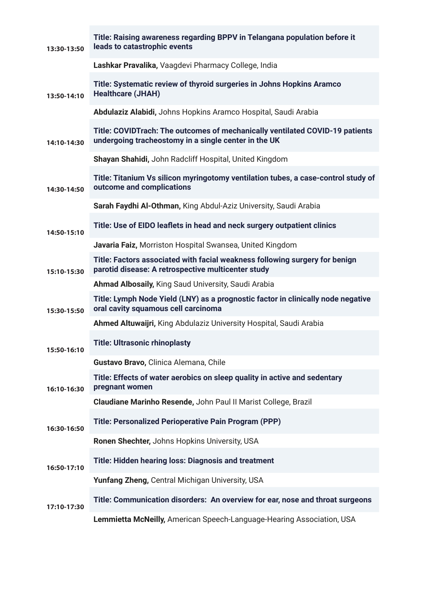| 13:30-13:50 | Title: Raising awareness regarding BPPV in Telangana population before it<br>leads to catastrophic events                            |
|-------------|--------------------------------------------------------------------------------------------------------------------------------------|
|             | Lashkar Pravalika, Vaagdevi Pharmacy College, India                                                                                  |
| 13:50-14:10 | Title: Systematic review of thyroid surgeries in Johns Hopkins Aramco<br><b>Healthcare (JHAH)</b>                                    |
|             | Abdulaziz Alabidi, Johns Hopkins Aramco Hospital, Saudi Arabia                                                                       |
| 14:10-14:30 | Title: COVIDTrach: The outcomes of mechanically ventilated COVID-19 patients<br>undergoing tracheostomy in a single center in the UK |
|             | Shayan Shahidi, John Radcliff Hospital, United Kingdom                                                                               |
| 14:30-14:50 | Title: Titanium Vs silicon myringotomy ventilation tubes, a case-control study of<br>outcome and complications                       |
|             | Sarah Faydhi Al-Othman, King Abdul-Aziz University, Saudi Arabia                                                                     |
| 14:50-15:10 | Title: Use of EIDO leaflets in head and neck surgery outpatient clinics                                                              |
|             | Javaria Faiz, Morriston Hospital Swansea, United Kingdom                                                                             |
| 15:10-15:30 | Title: Factors associated with facial weakness following surgery for benign<br>parotid disease: A retrospective multicenter study    |
|             | Ahmad Albosaily, King Saud University, Saudi Arabia                                                                                  |
| 15:30-15:50 | Title: Lymph Node Yield (LNY) as a prognostic factor in clinically node negative<br>oral cavity squamous cell carcinoma              |
|             | Ahmed Altuwaijri, King Abdulaziz University Hospital, Saudi Arabia                                                                   |
| 15:50-16:10 | <b>Title: Ultrasonic rhinoplasty</b>                                                                                                 |
|             | Gustavo Bravo, Clinica Alemana, Chile                                                                                                |
| 16:10-16:30 | Title: Effects of water aerobics on sleep quality in active and sedentary<br>pregnant women                                          |
|             | Claudiane Marinho Resende, John Paul II Marist College, Brazil                                                                       |
| 16:30-16:50 | <b>Title: Personalized Perioperative Pain Program (PPP)</b>                                                                          |
|             | Ronen Shechter, Johns Hopkins University, USA                                                                                        |
| 16:50-17:10 | Title: Hidden hearing loss: Diagnosis and treatment                                                                                  |
|             | <b>Yunfang Zheng, Central Michigan University, USA</b>                                                                               |
| 17:10-17:30 | Title: Communication disorders: An overview for ear, nose and throat surgeons                                                        |
|             | Lemmietta McNeilly, American Speech-Language-Hearing Association, USA                                                                |